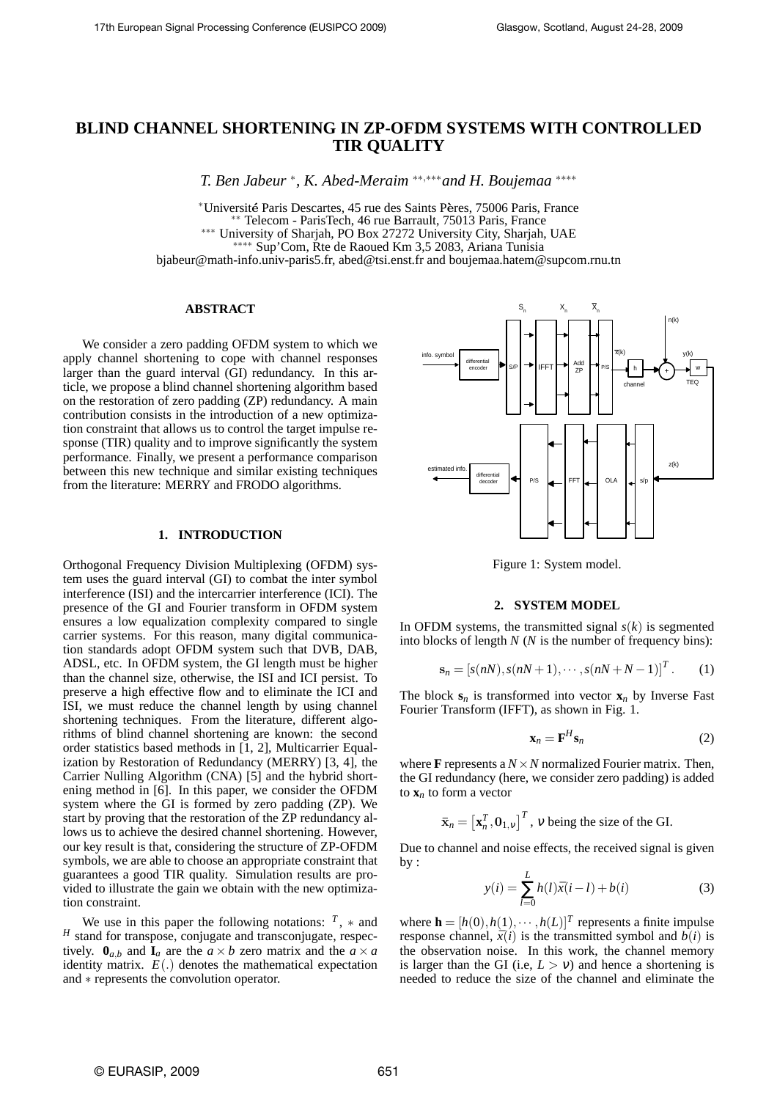# **BLIND CHANNEL SHORTENING IN ZP-OFDM SYSTEMS WITH CONTROLLED TIR QUALITY**

*T. Ben Jabeur* <sup>∗</sup> *, K. Abed-Meraim* ∗∗,∗∗∗*and H. Boujemaa* ∗∗∗∗

<sup>∗</sup>Universit´e Paris Descartes, 45 rue des Saints P`eres, 75006 Paris, France ∗∗ Telecom - ParisTech, 46 rue Barrault, 75013 Paris, France ∗∗∗ University of Sharjah, PO Box 27272 University City, Sharjah, UAE ∗∗∗∗ Sup'Com, Rte de Raoued Km 3,5 2083, Ariana Tunisia bjabeur@math-info.univ-paris5.fr, abed@tsi.enst.fr and boujemaa.hatem@supcom.rnu.tn

## **ABSTRACT**

We consider a zero padding OFDM system to which we apply channel shortening to cope with channel responses larger than the guard interval (GI) redundancy. In this article, we propose a blind channel shortening algorithm based on the restoration of zero padding (ZP) redundancy. A main contribution consists in the introduction of a new optimization constraint that allows us to control the target impulse response (TIR) quality and to improve significantly the system performance. Finally, we present a performance comparison between this new technique and similar existing techniques from the literature: MERRY and FRODO algorithms.

### **1. INTRODUCTION**

Orthogonal Frequency Division Multiplexing (OFDM) system uses the guard interval (GI) to combat the inter symbol interference (ISI) and the intercarrier interference (ICI). The presence of the GI and Fourier transform in OFDM system ensures a low equalization complexity compared to single carrier systems. For this reason, many digital communication standards adopt OFDM system such that DVB, DAB, ADSL, etc. In OFDM system, the GI length must be higher than the channel size, otherwise, the ISI and ICI persist. To preserve a high effective flow and to eliminate the ICI and ISI, we must reduce the channel length by using channel shortening techniques. From the literature, different algorithms of blind channel shortening are known: the second order statistics based methods in [1, 2], Multicarrier Equalization by Restoration of Redundancy (MERRY) [3, 4], the Carrier Nulling Algorithm (CNA) [5] and the hybrid shortening method in [6]. In this paper, we consider the OFDM system where the GI is formed by zero padding (ZP). We start by proving that the restoration of the ZP redundancy allows us to achieve the desired channel shortening. However, our key result is that, considering the structure of ZP-OFDM symbols, we are able to choose an appropriate constraint that guarantees a good TIR quality. Simulation results are provided to illustrate the gain we obtain with the new optimization constraint.

We use in this paper the following notations:  $^T$ ,  $*$  and *H* stand for transpose, conjugate and transconjugate, respectively.  $\mathbf{0}_{a,b}$  and  $\mathbf{I}_a$  are the  $a \times b$  zero matrix and the  $a \times a$ identity matrix.  $E(.)$  denotes the mathematical expectation and ∗ represents the convolution operator.



Figure 1: System model.

#### **2. SYSTEM MODEL**

In OFDM systems, the transmitted signal  $s(k)$  is segmented into blocks of length *N* (*N* is the number of frequency bins):

$$
\mathbf{s}_n = [s(nN), s(nN+1), \cdots, s(nN+N-1)]^T. \quad (1)
$$

The block  $s_n$  is transformed into vector  $x_n$  by Inverse Fast Fourier Transform (IFFT), as shown in Fig. 1.

$$
\mathbf{x}_n = \mathbf{F}^H \mathbf{s}_n \tag{2}
$$

where **F** represents a  $N \times N$  normalized Fourier matrix. Then, the GI redundancy (here, we consider zero padding) is added to  $\mathbf{x}_n$  to form a vector

$$
\bar{\mathbf{x}}_n = \left[\mathbf{x}_n^T, \mathbf{0}_{1,v}\right]^T, \, v \text{ being the size of the GI.}
$$

Due to channel and noise effects, the received signal is given by :

$$
y(i) = \sum_{l=0}^{L} h(l)\bar{x}(i-l) + b(i)
$$
 (3)

where  $\mathbf{h} = [h(0), h(1), \dots, h(L)]^T$  represents a finite impulse response channel,  $\bar{x}(i)$  is the transmitted symbol and  $\bar{b}(i)$  is the observation noise. In this work, the channel memory is larger than the GI (i.e,  $L > v$ ) and hence a shortening is needed to reduce the size of the channel and eliminate the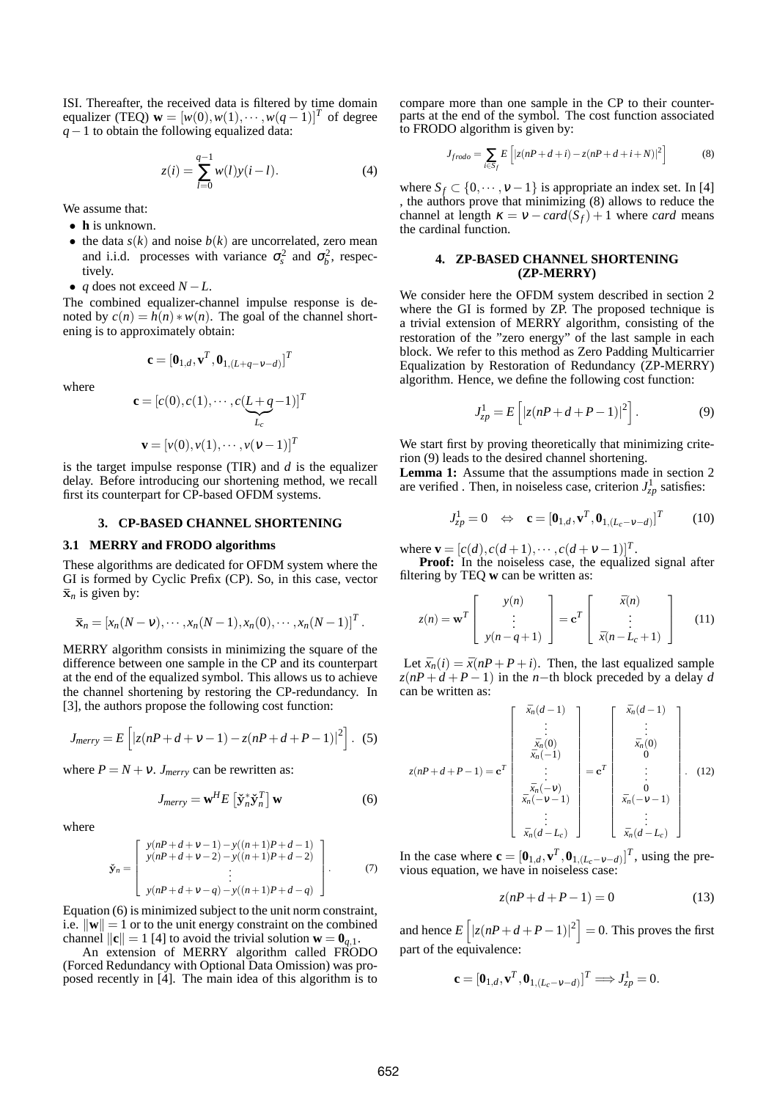ISI. Thereafter, the received data is filtered by time domain equalizer (TEQ)  $\mathbf{w} = [w(0), w(1), \cdots, w(q-1)]^T$  of degree *q* − 1 to obtain the following equalized data:

$$
z(i) = \sum_{l=0}^{q-1} w(l)y(i-l).
$$
 (4)

We assume that:

- **h** is unknown.
- the data  $s(k)$  and noise  $b(k)$  are uncorrelated, zero mean and i.i.d. processes with variance  $\sigma_s^2$  and  $\sigma_b^2$ , respectively.
- *q* does not exceed *N* −*L*.

The combined equalizer-channel impulse response is denoted by  $c(n) = h(n) * w(n)$ . The goal of the channel shortening is to approximately obtain:

$$
\mathbf{c} = [\mathbf{0}_{1,d}, \mathbf{v}^T, \mathbf{0}_{1,(L+q-v-d)}]^T
$$

where

$$
\mathbf{c} = [c(0), c(1), \cdots, c(\underbrace{L+q-1})]^T
$$

$$
\mathbf{v} = [v(0), v(1), \cdots, v(v-1)]^T
$$

is the target impulse response (TIR) and *d* is the equalizer delay. Before introducing our shortening method, we recall first its counterpart for CP-based OFDM systems.

### **3. CP-BASED CHANNEL SHORTENING**

#### **3.1 MERRY and FRODO algorithms**

These algorithms are dedicated for OFDM system where the GI is formed by Cyclic Prefix (CP). So, in this case, vector  $\bar{\mathbf{x}}_n$  is given by:

$$
\bar{\mathbf{x}}_n = [x_n(N - \mathbf{v}), \cdots, x_n(N - 1), x_n(0), \cdots, x_n(N - 1)]^T.
$$

MERRY algorithm consists in minimizing the square of the difference between one sample in the CP and its counterpart at the end of the equalized symbol. This allows us to achieve the channel shortening by restoring the CP-redundancy. In [3], the authors propose the following cost function:

$$
J_{merry} = E\left[|z(nP + d + v - 1) - z(nP + d + P - 1)|^{2}\right]. (5)
$$

where  $P = N + v$ . *J<sub>merry</sub>* can be rewritten as:

$$
J_{merry} = \mathbf{w}^H E \left[ \check{\mathbf{y}}_n^* \check{\mathbf{y}}_n^T \right] \mathbf{w}
$$
 (6)

where

$$
\tilde{\mathbf{y}}_n = \begin{bmatrix} y(nP + d + v - 1) - y((n+1)P + d - 1) \\ y(nP + d + v - 2) - y((n+1)P + d - 2) \\ \vdots \\ y(nP + d + v - q) - y((n+1)P + d - q) \end{bmatrix} . \tag{7}
$$

Equation (6) is minimized subject to the unit norm constraint, i.e.  $\|\mathbf{w}\| = 1$  or to the unit energy constraint on the combined channel  $\|\mathbf{c}\| = 1$  [4] to avoid the trivial solution  $\mathbf{w} = \mathbf{0}_{q,1}$ .

An extension of MERRY algorithm called FRODO (Forced Redundancy with Optional Data Omission) was proposed recently in [4]. The main idea of this algorithm is to compare more than one sample in the CP to their counterparts at the end of the symbol. The cost function associated to FRODO algorithm is given by:

$$
J_{frodo} = \sum_{i \in S_f} E\left[ |z(nP + d + i) - z(nP + d + i + N)|^2 \right] \tag{8}
$$

where  $S_f \subset \{0, \dots, v-1\}$  is appropriate an index set. In [4] , the authors prove that minimizing (8) allows to reduce the channel at length  $\kappa = v - \frac{card(S_f)}{1 + 1}$  where *card* means the cardinal function.

#### **4. ZP-BASED CHANNEL SHORTENING (ZP-MERRY)**

We consider here the OFDM system described in section 2 where the GI is formed by ZP. The proposed technique is a trivial extension of MERRY algorithm, consisting of the restoration of the "zero energy" of the last sample in each block. We refer to this method as Zero Padding Multicarrier Equalization by Restoration of Redundancy (ZP-MERRY) algorithm. Hence, we define the following cost function:

$$
J_{zp}^{1} = E\left[|z(nP + d + P - 1)|^{2}\right].
$$
 (9)

We start first by proving theoretically that minimizing criterion (9) leads to the desired channel shortening.

**Lemma 1:** Assume that the assumptions made in section 2 are verified . Then, in noiseless case, criterion  $J_{zp}^1$  satisfies:

$$
J_{zp}^1 = 0 \Leftrightarrow \mathbf{c} = [\mathbf{0}_{1,d}, \mathbf{v}^T, \mathbf{0}_{1,(L_c - \nu - d)}]^T
$$
 (10)

where  $\mathbf{v} = [c(d), c(d+1), \cdots, c(d+v-1)]^T$ .

**Proof:** In the noiseless case, the equalized signal after filtering by TEQ **w** can be written as:

$$
z(n) = \mathbf{w}^T \begin{bmatrix} y(n) \\ \vdots \\ y(n-q+1) \end{bmatrix} = \mathbf{c}^T \begin{bmatrix} \bar{x}(n) \\ \vdots \\ \bar{x}(n-L_c+1) \end{bmatrix}
$$
 (11)

Let  $\bar{x}_n(i) = \bar{x}(nP + P + i)$ . Then, the last equalized sample  $z(nP + d + P - 1)$  in the *n*−th block preceded by a delay *d* can be written as:

$$
z(nP+d+P-1) = \mathbf{c}^{T} \begin{bmatrix} \bar{x}_{n}(d-1) \\ \vdots \\ \bar{x}_{n}(0) \\ \bar{x}_{n}(-1) \\ \vdots \\ \bar{x}_{n}(-\nu-1) \\ \vdots \\ \bar{x}_{n}(d-L_{c}) \end{bmatrix} = \mathbf{c}^{T} \begin{bmatrix} \bar{x}_{n}(d-1) \\ \vdots \\ \bar{x}_{n}(0) \\ 0 \\ \vdots \\ 0 \\ \bar{x}_{n}(-\nu-1) \\ \vdots \\ \bar{x}_{n}(d-L_{c}) \end{bmatrix} . \quad (12)
$$

In the case where  $\mathbf{c} = [\mathbf{0}_{1,d}, \mathbf{v}^T, \mathbf{0}_{1,(L_c - \nu - d)}]^T$ , using the previous equation, we have in noiseless case:

$$
z(nP + d + P - 1) = 0
$$
 (13)

and hence  $E\left[|z(nP+d+P-1)|^2\right] = 0$ . This proves the first part of the equivalence:

$$
\mathbf{c} = [\mathbf{0}_{1,d}, \mathbf{v}^T, \mathbf{0}_{1,(L_c - \nu - d)}]^T \Longrightarrow J_{zp}^1 = 0.
$$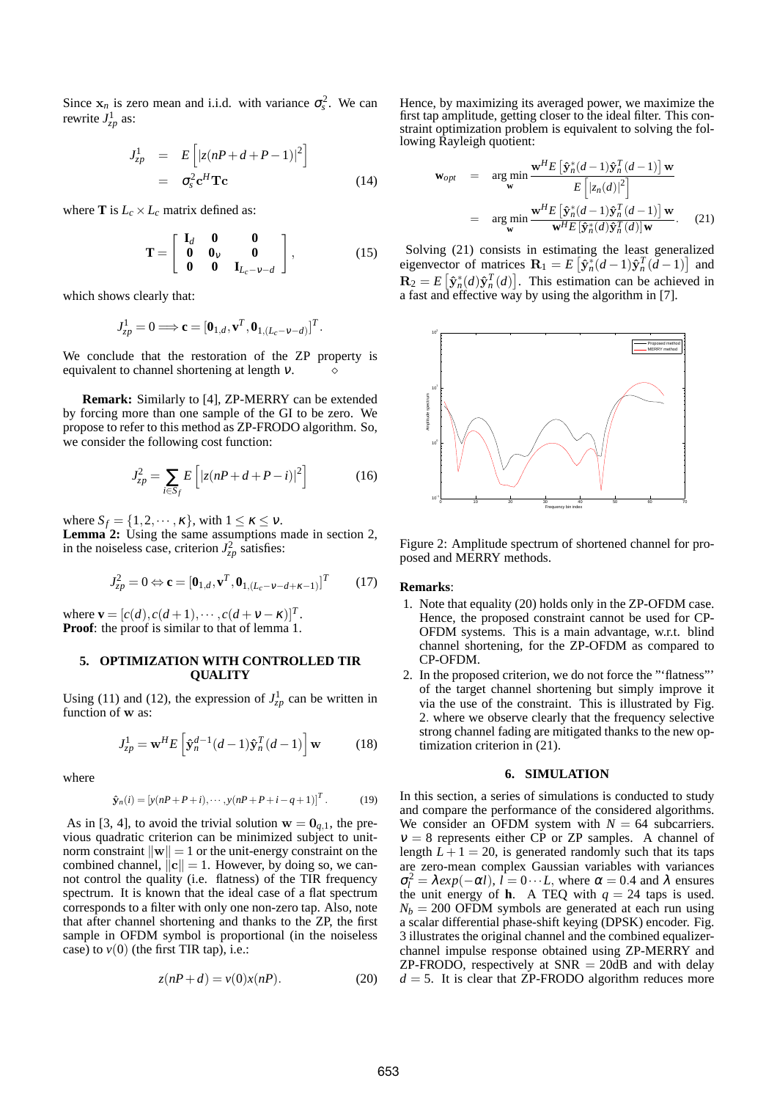Since  $x_n$  is zero mean and i.i.d. with variance  $\sigma_s^2$ . We can rewrite *J* 1 *zp* as:

$$
J_{zp}^{1} = E\left[|z(nP+d+P-1)|^{2}\right]
$$
  
=  $\sigma_{s}^{2} \mathbf{c}^{H} \mathbf{T} \mathbf{c}$  (14)

where **T** is  $L_c \times L_c$  matrix defined as:

$$
\mathbf{T} = \begin{bmatrix} \mathbf{I}_d & \mathbf{0} & \mathbf{0} \\ \mathbf{0} & \mathbf{0}_v & \mathbf{0} \\ \mathbf{0} & \mathbf{0} & \mathbf{I}_{L_c - v - d} \end{bmatrix},
$$
(15)

which shows clearly that:

$$
J_{zp}^1 = 0 \Longrightarrow \mathbf{c} = [\mathbf{0}_{1,d}, \mathbf{v}^T, \mathbf{0}_{1,(L_c - \mathbf{v} - d)}]^T.
$$

We conclude that the restoration of the ZP property is equivalent to channel shortening at length <sup>ν</sup>.

**Remark:** Similarly to [4], ZP-MERRY can be extended by forcing more than one sample of the GI to be zero. We propose to refer to this method as ZP-FRODO algorithm. So, we consider the following cost function:

$$
J_{zp}^{2} = \sum_{i \in S_{f}} E\left[|z(nP + d + P - i)|^{2}\right]
$$
 (16)

where  $S_f = \{1, 2, \dots, \kappa\}$ , with  $1 \leq \kappa \leq \nu$ .

**Lemma 2:** Using the same assumptions made in section 2, in the noiseless case, criterion  $J_{zp}^2$  satisfies:

$$
J_{zp}^2 = 0 \Leftrightarrow \mathbf{c} = [\mathbf{0}_{1,d}, \mathbf{v}^T, \mathbf{0}_{1,(L_c - \mathbf{v} - d + \kappa - 1)}]^T
$$
 (17)

where  $\mathbf{v} = [c(d), c(d+1), \cdots, c(d + \mathbf{v} - \mathbf{k})]^T$ . **Proof**: the proof is similar to that of lemma 1.

### **5. OPTIMIZATION WITH CONTROLLED TIR QUALITY**

Using (11) and (12), the expression of  $J_{z\rho}^1$  can be written in function of w as:

$$
J_{zp}^1 = \mathbf{w}^H E\left[\hat{\mathbf{y}}_n^{d-1} (d-1) \hat{\mathbf{y}}_n^T (d-1)\right] \mathbf{w} \tag{18}
$$

where

$$
\hat{\mathbf{y}}_n(i) = \left[ y(nP + P + i), \cdots, y(nP + P + i - q + 1) \right]^T.
$$
 (19)

As in [3, 4], to avoid the trivial solution  $w = 0_{q,1}$ , the previous quadratic criterion can be minimized subject to unitnorm constraint  $\|\mathbf{w}\| = 1$  or the unit-energy constraint on the combined channel,  $||c|| = 1$ . However, by doing so, we cannot control the quality (i.e. flatness) of the TIR frequency spectrum. It is known that the ideal case of a flat spectrum corresponds to a filter with only one non-zero tap. Also, note that after channel shortening and thanks to the ZP, the first sample in OFDM symbol is proportional (in the noiseless case) to  $v(0)$  (the first TIR tap), i.e.:

$$
z(nP+d) = v(0)x(nP).
$$
 (20)

Hence, by maximizing its averaged power, we maximize the first tap amplitude, getting closer to the ideal filter. This constraint optimization problem is equivalent to solving the following Rayleigh quotient:

$$
\mathbf{w}_{opt} = \arg \min_{\mathbf{w}} \frac{\mathbf{w}^{H} E\left[\hat{\mathbf{y}}_{n}^{*}(d-1)\hat{\mathbf{y}}_{n}^{T}(d-1)\right] \mathbf{w}}{E\left[|z_{n}(d)|^{2}\right]}
$$

$$
= \arg \min_{\mathbf{w}} \frac{\mathbf{w}^{H} E\left[\hat{\mathbf{y}}_{n}^{*}(d-1)\hat{\mathbf{y}}_{n}^{T}(d-1)\right] \mathbf{w}}{\mathbf{w}^{H} E\left[\hat{\mathbf{y}}_{n}^{*}(d)\hat{\mathbf{y}}_{n}^{T}(d)\right] \mathbf{w}}.
$$
(21)

Solving (21) consists in estimating the least generalized eigenvector of matrices  $\mathbf{R}_1 = E \left[ \hat{\mathbf{y}}_n^*(d-1) \hat{\mathbf{y}}_n^T(d-1) \right]$  and  $\mathbf{R}_2 = E\left[\hat{\mathbf{y}}_n^*(d)\hat{\mathbf{y}}_n^T(d)\right]$ . This estimation can be achieved in a fast and effective way by using the algorithm in [7].



Figure 2: Amplitude spectrum of shortened channel for proposed and MERRY methods.

#### **Remarks**:

- 1. Note that equality (20) holds only in the ZP-OFDM case. Hence, the proposed constraint cannot be used for CP-OFDM systems. This is a main advantage, w.r.t. blind channel shortening, for the ZP-OFDM as compared to CP-OFDM.
- 2. In the proposed criterion, we do not force the "'flatness"' of the target channel shortening but simply improve it via the use of the constraint. This is illustrated by Fig. 2. where we observe clearly that the frequency selective strong channel fading are mitigated thanks to the new optimization criterion in (21).

#### **6. SIMULATION**

In this section, a series of simulations is conducted to study and compare the performance of the considered algorithms. We consider an OFDM system with  $N = 64$  subcarriers.  $v = 8$  represents either CP or ZP samples. A channel of length  $L+1 = 20$ , is generated randomly such that its taps are zero-mean complex Gaussian variables with variances  $\sigma_l^2 = \lambda exp(-\alpha l)$ ,  $l = 0 \cdots L$ , where  $\alpha = 0.4$  and  $\lambda$  ensures the unit energy of **h**. A TEQ with  $q = 24$  taps is used.  $N_b = 200$  OFDM symbols are generated at each run using a scalar differential phase-shift keying (DPSK) encoder. Fig. 3 illustrates the original channel and the combined equalizerchannel impulse response obtained using ZP-MERRY and ZP-FRODO, respectively at  $SNR = 20dB$  and with delay  $d = 5$ . It is clear that ZP-FRODO algorithm reduces more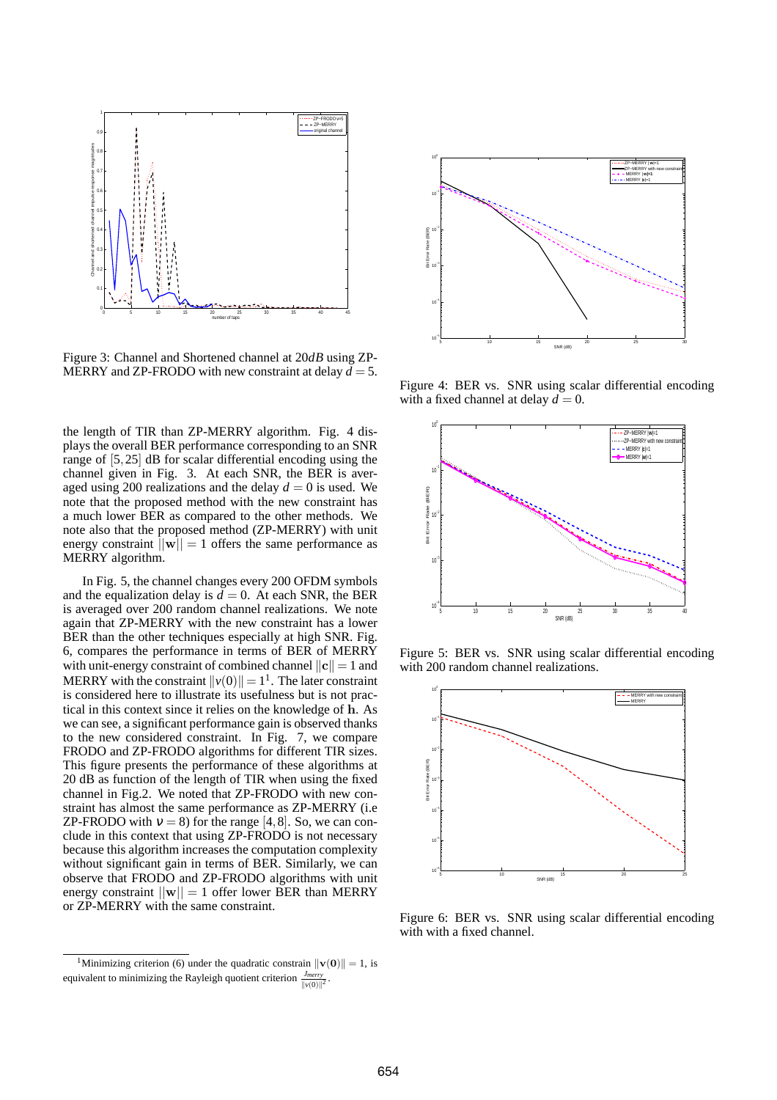

Figure 3: Channel and Shortened channel at 20*dB* using ZP-MERRY and ZP-FRODO with new constraint at delay  $d = 5$ .

the length of TIR than ZP-MERRY algorithm. Fig. 4 displays the overall BER performance corresponding to an SNR range of [5,25] dB for scalar differential encoding using the channel given in Fig. 3. At each SNR, the BER is averaged using 200 realizations and the delay  $d = 0$  is used. We note that the proposed method with the new constraint has a much lower BER as compared to the other methods. We note also that the proposed method (ZP-MERRY) with unit energy constraint  $||\mathbf{w}|| = 1$  offers the same performance as MERRY algorithm.

In Fig. 5, the channel changes every 200 OFDM symbols and the equalization delay is  $\overline{d} = 0$ . At each SNR, the BER is averaged over 200 random channel realizations. We note again that ZP-MERRY with the new constraint has a lower BER than the other techniques especially at high SNR. Fig. 6, compares the performance in terms of BER of MERRY with unit-energy constraint of combined channel  $||c|| = 1$  and MERRY with the constraint  $||v(0)|| = 1<sup>1</sup>$ . The later constraint is considered here to illustrate its usefulness but is not practical in this context since it relies on the knowledge of h. As we can see, a significant performance gain is observed thanks to the new considered constraint. In Fig. 7, we compare FRODO and ZP-FRODO algorithms for different TIR sizes. This figure presents the performance of these algorithms at 20 dB as function of the length of TIR when using the fixed channel in Fig.2. We noted that ZP-FRODO with new constraint has almost the same performance as ZP-MERRY (i.e ZP-FRODO with  $v = 8$ ) for the range [4, 8]. So, we can conclude in this context that using ZP-FRODO is not necessary because this algorithm increases the computation complexity without significant gain in terms of BER. Similarly, we can observe that FRODO and ZP-FRODO algorithms with unit energy constraint  $||\mathbf{w}|| = 1$  offer lower BER than MERRY or ZP-MERRY with the same constraint.



Figure 4: BER vs. SNR using scalar differential encoding with a fixed channel at delay  $d = 0$ .



Figure 5: BER vs. SNR using scalar differential encoding with 200 random channel realizations.



Figure 6: BER vs. SNR using scalar differential encoding with with a fixed channel.

<sup>&</sup>lt;sup>1</sup>Minimizing criterion (6) under the quadratic constrain  $\|\mathbf{v}(\mathbf{0})\| = 1$ , is equivalent to minimizing the Rayleigh quotient criterion  $\frac{J_{merry}}{||v(0)||^2}$ .